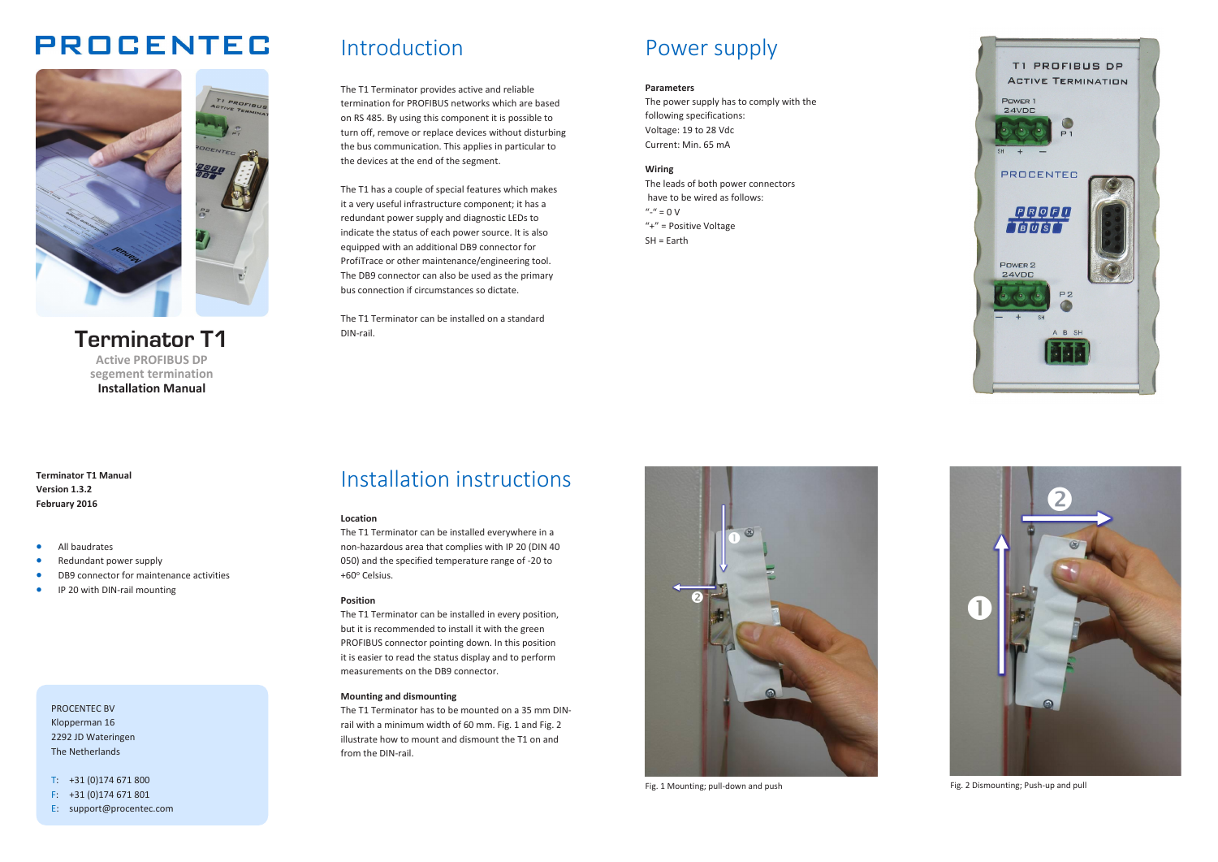# **PROCENTEC**



**Terminator T1 Active PROFIBUS DP segement termination Installation Manual**

# Introduction

The T1 Terminator provides active and reliable termination for PROFIBUS networks which are based on RS 485. By using this component it is possible to turn off, remove or replace devices without disturbing the bus communication. This applies in particular to the devices at the end of the segment.

The T1 has a couple of special features which makes it a very useful infrastructure component; it has a redundant power supply and diagnostic LEDs to indicate the status of each power source. It is also equipped with an additional DB9 connector for ProfiTrace or other maintenance/engineering tool. The DB9 connector can also be used as the primary bus connection if circumstances so dictate.

The T1 Terminator can be installed on a standard DIN-rail.

# Power supply

#### **Parameters**

The power supply has to comply with the following specifications: Voltage: 19 to 28 Vdc Current: Min. 65 mA

## **Wiring**

The leads of both power connectors have to be wired as follows:  $'' '' = 0 V$ "+" = Positive Voltage SH = Earth



**Terminator T1 Manual Version 1.3.2 February 2016**

- All baudrates
- Redundant power supply
- DB9 connector for maintenance activities
- IP 20 with DIN-rail mounting

PROCENTEC BV Klopperman 16 2292 JD Wateringen The Netherlands

T: +31 (0)174 671 800

- F: +31 (0)174 671 801
- E: support@procentec.com

# Installation instructions

#### **Location**

The T1 Terminator can be installed everywhere in a non-hazardous area that complies with IP 20 (DIN 40 050) and the specified temperature range of -20 to +60o Celsius.

### **Position**

The T1 Terminator can be installed in every position, but it is recommended to install it with the green PROFIBUS connector pointing down. In this position it is easier to read the status display and to perform measurements on the DB9 connector.

### **Mounting and dismounting**

The T1 Terminator has to be mounted on a 35 mm DINrail with a minimum width of 60 mm. Fig. 1 and Fig. 2 illustrate how to mount and dismount the T1 on and from the DIN-rail.



Fig. 1 Mounting; pull-down and push



Fig. 2 Dismounting; Push-up and pull